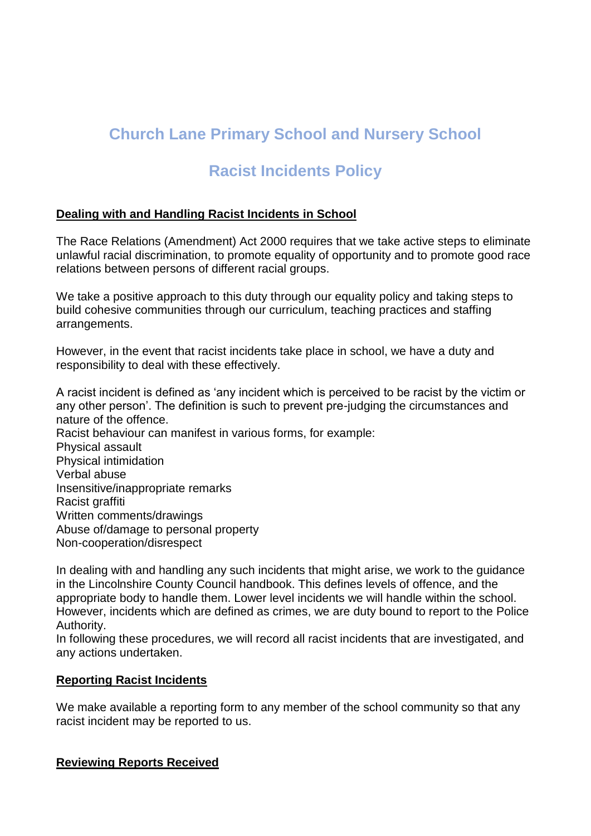# **Church Lane Primary School and Nursery School**

## **Racist Incidents Policy**

### **Dealing with and Handling Racist Incidents in School**

The Race Relations (Amendment) Act 2000 requires that we take active steps to eliminate unlawful racial discrimination, to promote equality of opportunity and to promote good race relations between persons of different racial groups.

We take a positive approach to this duty through our equality policy and taking steps to build cohesive communities through our curriculum, teaching practices and staffing arrangements.

However, in the event that racist incidents take place in school, we have a duty and responsibility to deal with these effectively.

A racist incident is defined as 'any incident which is perceived to be racist by the victim or any other person'. The definition is such to prevent pre-judging the circumstances and nature of the offence. Racist behaviour can manifest in various forms, for example: Physical assault Physical intimidation Verbal abuse Insensitive/inappropriate remarks Racist graffiti Written comments/drawings Abuse of/damage to personal property Non-cooperation/disrespect

In dealing with and handling any such incidents that might arise, we work to the guidance in the Lincolnshire County Council handbook. This defines levels of offence, and the appropriate body to handle them. Lower level incidents we will handle within the school. However, incidents which are defined as crimes, we are duty bound to report to the Police Authority.

In following these procedures, we will record all racist incidents that are investigated, and any actions undertaken.

### **Reporting Racist Incidents**

We make available a reporting form to any member of the school community so that any racist incident may be reported to us.

#### **Reviewing Reports Received**